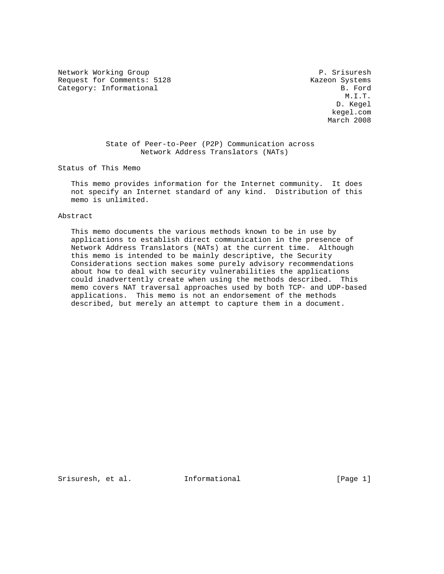Network Working Group P. Srisuresh Request for Comments: 5128 Kazeon Systems Category: Informational B. Ford

 M.I.T. D. Kegel kegel.com March 2008

# State of Peer-to-Peer (P2P) Communication across Network Address Translators (NATs)

Status of This Memo

 This memo provides information for the Internet community. It does not specify an Internet standard of any kind. Distribution of this memo is unlimited.

#### Abstract

 This memo documents the various methods known to be in use by applications to establish direct communication in the presence of Network Address Translators (NATs) at the current time. Although this memo is intended to be mainly descriptive, the Security Considerations section makes some purely advisory recommendations about how to deal with security vulnerabilities the applications could inadvertently create when using the methods described. This memo covers NAT traversal approaches used by both TCP- and UDP-based applications. This memo is not an endorsement of the methods described, but merely an attempt to capture them in a document.

Srisuresh, et al. Informational [Page 1]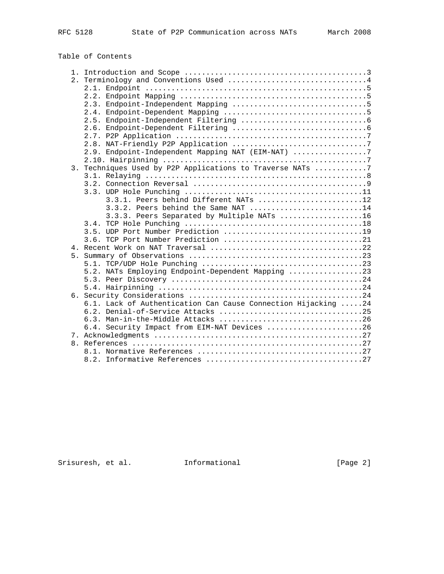# Table of Contents

|  | 2. Terminology and Conventions Used 4                         |
|--|---------------------------------------------------------------|
|  |                                                               |
|  |                                                               |
|  |                                                               |
|  |                                                               |
|  |                                                               |
|  |                                                               |
|  |                                                               |
|  |                                                               |
|  | 2.9. Endpoint-Independent Mapping NAT (EIM-NAT) 7             |
|  |                                                               |
|  | 3. Techniques Used by P2P Applications to Traverse NATs 7     |
|  |                                                               |
|  |                                                               |
|  |                                                               |
|  | 3.3.1. Peers behind Different NATs 12                         |
|  | 3.3.2. Peers behind the Same NAT 14                           |
|  | 3.3.3. Peers Separated by Multiple NATs 16                    |
|  |                                                               |
|  |                                                               |
|  |                                                               |
|  |                                                               |
|  |                                                               |
|  |                                                               |
|  | 5.2. NATs Employing Endpoint-Dependent Mapping 23             |
|  |                                                               |
|  |                                                               |
|  |                                                               |
|  | 6.1. Lack of Authentication Can Cause Connection Hijacking 24 |
|  | 6.2. Denial-of-Service Attacks 25                             |
|  | 6.3. Man-in-the-Middle Attacks 26                             |
|  | 6.4. Security Impact from EIM-NAT Devices 26                  |
|  |                                                               |
|  |                                                               |
|  |                                                               |
|  |                                                               |
|  |                                                               |

Srisuresh, et al. 1nformational [Page 2]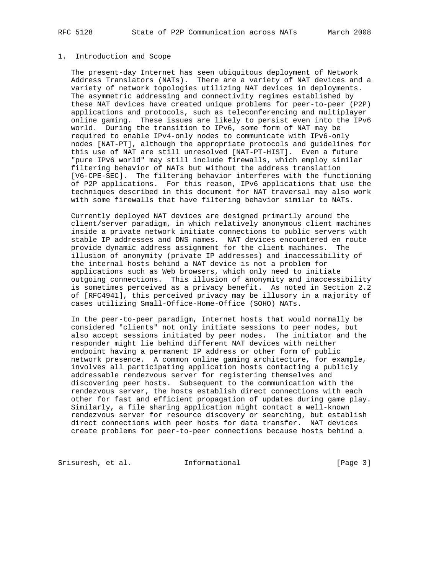#### 1. Introduction and Scope

 The present-day Internet has seen ubiquitous deployment of Network Address Translators (NATs). There are a variety of NAT devices and a variety of network topologies utilizing NAT devices in deployments. The asymmetric addressing and connectivity regimes established by these NAT devices have created unique problems for peer-to-peer (P2P) applications and protocols, such as teleconferencing and multiplayer online gaming. These issues are likely to persist even into the IPv6 world. During the transition to IPv6, some form of NAT may be required to enable IPv4-only nodes to communicate with IPv6-only nodes [NAT-PT], although the appropriate protocols and guidelines for this use of NAT are still unresolved [NAT-PT-HIST]. Even a future "pure IPv6 world" may still include firewalls, which employ similar filtering behavior of NATs but without the address translation [V6-CPE-SEC]. The filtering behavior interferes with the functioning of P2P applications. For this reason, IPv6 applications that use the techniques described in this document for NAT traversal may also work with some firewalls that have filtering behavior similar to NATs.

 Currently deployed NAT devices are designed primarily around the client/server paradigm, in which relatively anonymous client machines inside a private network initiate connections to public servers with stable IP addresses and DNS names. NAT devices encountered en route provide dynamic address assignment for the client machines. The illusion of anonymity (private IP addresses) and inaccessibility of the internal hosts behind a NAT device is not a problem for applications such as Web browsers, which only need to initiate outgoing connections. This illusion of anonymity and inaccessibility is sometimes perceived as a privacy benefit. As noted in Section 2.2 of [RFC4941], this perceived privacy may be illusory in a majority of cases utilizing Small-Office-Home-Office (SOHO) NATs.

 In the peer-to-peer paradigm, Internet hosts that would normally be considered "clients" not only initiate sessions to peer nodes, but also accept sessions initiated by peer nodes. The initiator and the responder might lie behind different NAT devices with neither endpoint having a permanent IP address or other form of public network presence. A common online gaming architecture, for example, involves all participating application hosts contacting a publicly addressable rendezvous server for registering themselves and discovering peer hosts. Subsequent to the communication with the rendezvous server, the hosts establish direct connections with each other for fast and efficient propagation of updates during game play. Similarly, a file sharing application might contact a well-known rendezvous server for resource discovery or searching, but establish direct connections with peer hosts for data transfer. NAT devices create problems for peer-to-peer connections because hosts behind a

Srisuresh, et al. Informational [Page 3]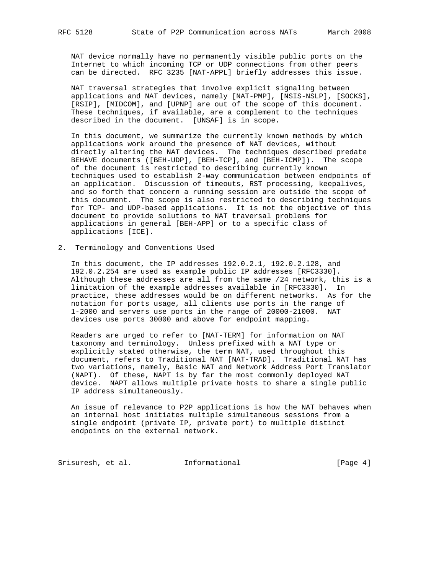NAT device normally have no permanently visible public ports on the Internet to which incoming TCP or UDP connections from other peers can be directed. RFC 3235 [NAT-APPL] briefly addresses this issue.

 NAT traversal strategies that involve explicit signaling between applications and NAT devices, namely [NAT-PMP], [NSIS-NSLP], [SOCKS], [RSIP], [MIDCOM], and [UPNP] are out of the scope of this document. These techniques, if available, are a complement to the techniques described in the document. [UNSAF] is in scope.

 In this document, we summarize the currently known methods by which applications work around the presence of NAT devices, without directly altering the NAT devices. The techniques described predate BEHAVE documents ([BEH-UDP], [BEH-TCP], and [BEH-ICMP]). The scope of the document is restricted to describing currently known techniques used to establish 2-way communication between endpoints of an application. Discussion of timeouts, RST processing, keepalives, and so forth that concern a running session are outside the scope of this document. The scope is also restricted to describing techniques for TCP- and UDP-based applications. It is not the objective of this document to provide solutions to NAT traversal problems for applications in general [BEH-APP] or to a specific class of applications [ICE].

### 2. Terminology and Conventions Used

 In this document, the IP addresses 192.0.2.1, 192.0.2.128, and 192.0.2.254 are used as example public IP addresses [RFC3330]. Although these addresses are all from the same /24 network, this is a limitation of the example addresses available in [RFC3330]. In practice, these addresses would be on different networks. As for the notation for ports usage, all clients use ports in the range of 1-2000 and servers use ports in the range of 20000-21000. NAT devices use ports 30000 and above for endpoint mapping.

 Readers are urged to refer to [NAT-TERM] for information on NAT taxonomy and terminology. Unless prefixed with a NAT type or explicitly stated otherwise, the term NAT, used throughout this document, refers to Traditional NAT [NAT-TRAD]. Traditional NAT has two variations, namely, Basic NAT and Network Address Port Translator (NAPT). Of these, NAPT is by far the most commonly deployed NAT device. NAPT allows multiple private hosts to share a single public IP address simultaneously.

 An issue of relevance to P2P applications is how the NAT behaves when an internal host initiates multiple simultaneous sessions from a single endpoint (private IP, private port) to multiple distinct endpoints on the external network.

Srisuresh, et al. 1nformational [Page 4]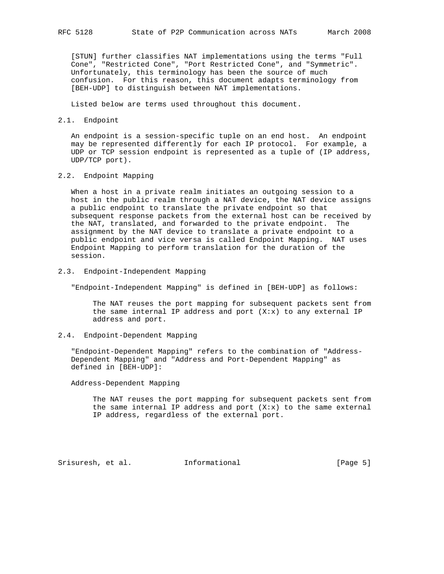[STUN] further classifies NAT implementations using the terms "Full Cone", "Restricted Cone", "Port Restricted Cone", and "Symmetric". Unfortunately, this terminology has been the source of much confusion. For this reason, this document adapts terminology from [BEH-UDP] to distinguish between NAT implementations.

Listed below are terms used throughout this document.

2.1. Endpoint

 An endpoint is a session-specific tuple on an end host. An endpoint may be represented differently for each IP protocol. For example, a UDP or TCP session endpoint is represented as a tuple of (IP address, UDP/TCP port).

2.2. Endpoint Mapping

 When a host in a private realm initiates an outgoing session to a host in the public realm through a NAT device, the NAT device assigns a public endpoint to translate the private endpoint so that subsequent response packets from the external host can be received by the NAT, translated, and forwarded to the private endpoint. The assignment by the NAT device to translate a private endpoint to a public endpoint and vice versa is called Endpoint Mapping. NAT uses Endpoint Mapping to perform translation for the duration of the session.

2.3. Endpoint-Independent Mapping

"Endpoint-Independent Mapping" is defined in [BEH-UDP] as follows:

 The NAT reuses the port mapping for subsequent packets sent from the same internal IP address and port  $(X:x)$  to any external IP address and port.

2.4. Endpoint-Dependent Mapping

 "Endpoint-Dependent Mapping" refers to the combination of "Address- Dependent Mapping" and "Address and Port-Dependent Mapping" as defined in [BEH-UDP]:

Address-Dependent Mapping

 The NAT reuses the port mapping for subsequent packets sent from the same internal IP address and port  $(X: x)$  to the same external IP address, regardless of the external port.

Srisuresh, et al. Informational [Page 5]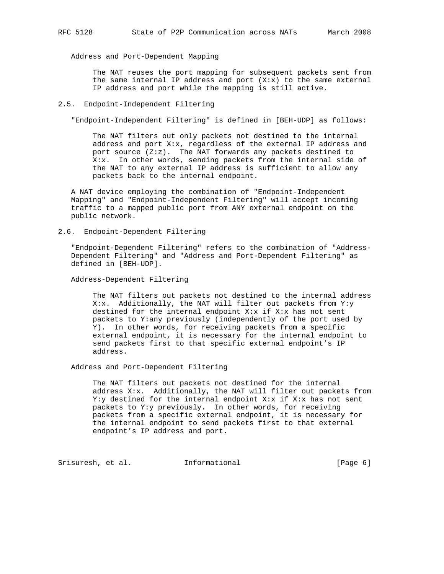Address and Port-Dependent Mapping

 The NAT reuses the port mapping for subsequent packets sent from the same internal IP address and port  $(X: x)$  to the same external IP address and port while the mapping is still active.

#### 2.5. Endpoint-Independent Filtering

"Endpoint-Independent Filtering" is defined in [BEH-UDP] as follows:

 The NAT filters out only packets not destined to the internal address and port X:x, regardless of the external IP address and port source (Z:z). The NAT forwards any packets destined to X:x. In other words, sending packets from the internal side of the NAT to any external IP address is sufficient to allow any packets back to the internal endpoint.

 A NAT device employing the combination of "Endpoint-Independent Mapping" and "Endpoint-Independent Filtering" will accept incoming traffic to a mapped public port from ANY external endpoint on the public network.

2.6. Endpoint-Dependent Filtering

 "Endpoint-Dependent Filtering" refers to the combination of "Address- Dependent Filtering" and "Address and Port-Dependent Filtering" as defined in [BEH-UDP].

Address-Dependent Filtering

 The NAT filters out packets not destined to the internal address X:x. Additionally, the NAT will filter out packets from Y:y destined for the internal endpoint  $X: x$  if  $X: x$  has not sent packets to Y:any previously (independently of the port used by Y). In other words, for receiving packets from a specific external endpoint, it is necessary for the internal endpoint to send packets first to that specific external endpoint's IP address.

Address and Port-Dependent Filtering

 The NAT filters out packets not destined for the internal address X:x. Additionally, the NAT will filter out packets from Y:y destined for the internal endpoint X:x if X:x has not sent packets to Y:y previously. In other words, for receiving packets from a specific external endpoint, it is necessary for the internal endpoint to send packets first to that external endpoint's IP address and port.

Srisuresh, et al. 1nformational (Page 6)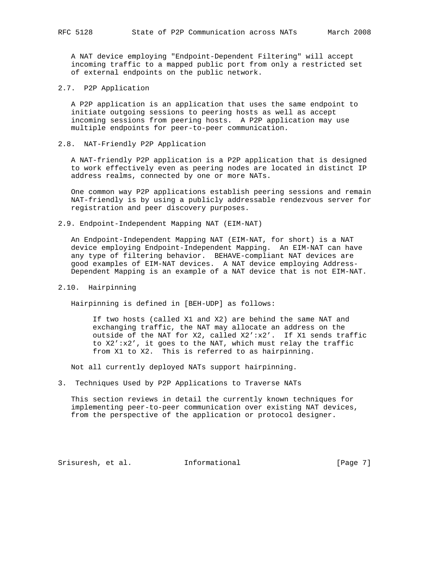A NAT device employing "Endpoint-Dependent Filtering" will accept incoming traffic to a mapped public port from only a restricted set of external endpoints on the public network.

2.7. P2P Application

 A P2P application is an application that uses the same endpoint to initiate outgoing sessions to peering hosts as well as accept incoming sessions from peering hosts. A P2P application may use multiple endpoints for peer-to-peer communication.

2.8. NAT-Friendly P2P Application

 A NAT-friendly P2P application is a P2P application that is designed to work effectively even as peering nodes are located in distinct IP address realms, connected by one or more NATs.

 One common way P2P applications establish peering sessions and remain NAT-friendly is by using a publicly addressable rendezvous server for registration and peer discovery purposes.

2.9. Endpoint-Independent Mapping NAT (EIM-NAT)

 An Endpoint-Independent Mapping NAT (EIM-NAT, for short) is a NAT device employing Endpoint-Independent Mapping. An EIM-NAT can have any type of filtering behavior. BEHAVE-compliant NAT devices are good examples of EIM-NAT devices. A NAT device employing Address- Dependent Mapping is an example of a NAT device that is not EIM-NAT.

2.10. Hairpinning

Hairpinning is defined in [BEH-UDP] as follows:

 If two hosts (called X1 and X2) are behind the same NAT and exchanging traffic, the NAT may allocate an address on the outside of the NAT for X2, called  $X2':x2'.$  If X1 sends traffic to X2':x2', it goes to the NAT, which must relay the traffic from X1 to X2. This is referred to as hairpinning.

Not all currently deployed NATs support hairpinning.

3. Techniques Used by P2P Applications to Traverse NATs

 This section reviews in detail the currently known techniques for implementing peer-to-peer communication over existing NAT devices, from the perspective of the application or protocol designer.

Srisuresh, et al. Informational [Page 7]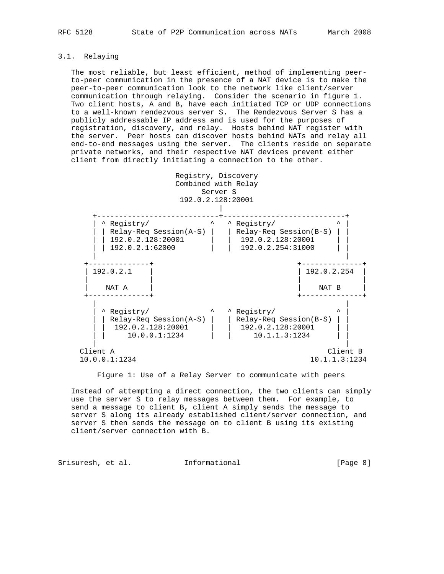# 3.1. Relaying

 The most reliable, but least efficient, method of implementing peer to-peer communication in the presence of a NAT device is to make the peer-to-peer communication look to the network like client/server communication through relaying. Consider the scenario in figure 1. Two client hosts, A and B, have each initiated TCP or UDP connections to a well-known rendezvous server S. The Rendezvous Server S has a publicly addressable IP address and is used for the purposes of registration, discovery, and relay. Hosts behind NAT register with the server. Peer hosts can discover hosts behind NATs and relay all end-to-end messages using the server. The clients reside on separate private networks, and their respective NAT devices prevent either client from directly initiating a connection to the other.



Figure 1: Use of a Relay Server to communicate with peers

 Instead of attempting a direct connection, the two clients can simply use the server S to relay messages between them. For example, to send a message to client B, client A simply sends the message to server S along its already established client/server connection, and server S then sends the message on to client B using its existing client/server connection with B.

Srisuresh, et al. 1nformational 1999 (Page 8)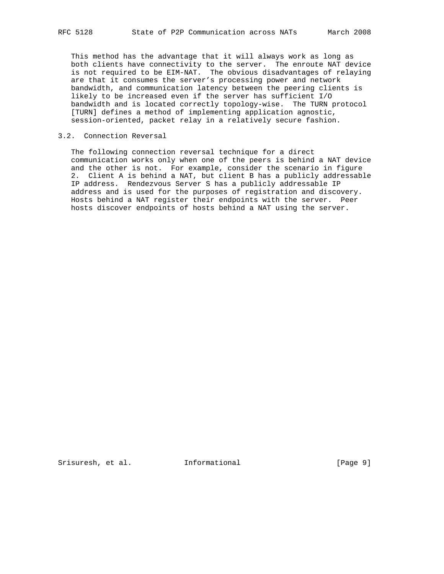This method has the advantage that it will always work as long as both clients have connectivity to the server. The enroute NAT device is not required to be EIM-NAT. The obvious disadvantages of relaying are that it consumes the server's processing power and network bandwidth, and communication latency between the peering clients is likely to be increased even if the server has sufficient I/O bandwidth and is located correctly topology-wise. The TURN protocol [TURN] defines a method of implementing application agnostic, session-oriented, packet relay in a relatively secure fashion.

### 3.2. Connection Reversal

 The following connection reversal technique for a direct communication works only when one of the peers is behind a NAT device and the other is not. For example, consider the scenario in figure 2. Client A is behind a NAT, but client B has a publicly addressable IP address. Rendezvous Server S has a publicly addressable IP address and is used for the purposes of registration and discovery. Hosts behind a NAT register their endpoints with the server. Peer hosts discover endpoints of hosts behind a NAT using the server.

Srisuresh, et al. Informational [Page 9]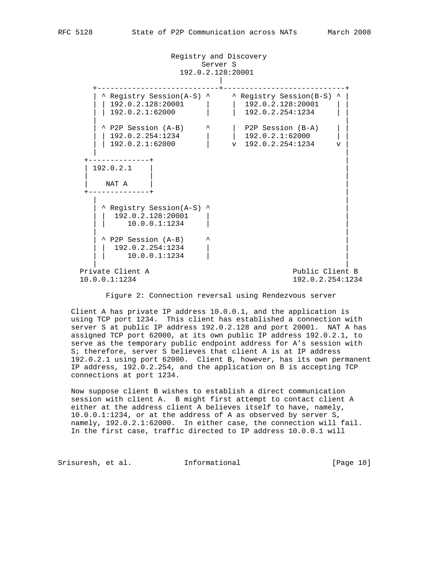Registry and Discovery Server S 192.0.2.128:20001 | +----------------------------+----------------------------+ | ^ Registry Session(A-S) ^ ^ Registry Session(B-S) ^ | | | 192.0.2.128:20001 | | 192.0.2.128:20001 | | | | 192.0.2.1:62000 | | 192.0.2.254:1234 | | | | | ^ P2P Session (A-B) ^ | P2P Session (B-A) | | | | 192.0.2.254:1234 | | 192.0.2.1:62000 | |  $\begin{array}{|c|c|c|c|c|c|c|c|} \hline &192.0.2.1:62000 && &\text{v} &192.0.2.254:1234 &&\text{v} & \hline \end{array}$  | | +--------------+ | | 192.0.2.1 | | | | | NAT A +--------------+ | | | | ^ Registry Session(A-S) ^ |  $| 192.0.2.128:20001$  |  $|$  10.0.0.1:1234 | | | ^ P2P Session (A-B) ^ |  $\begin{array}{|c|c|c|c|c|c|c|c|c|} \hline & 192.0.2.254:1234 & & \hline \end{array}$  | | 10.0.0.1:1234 | | | | Private Client A Public Client B 10.0.0.1:1234 192.0.2.254:1234

Figure 2: Connection reversal using Rendezvous server

 Client A has private IP address 10.0.0.1, and the application is using TCP port 1234. This client has established a connection with server S at public IP address 192.0.2.128 and port 20001. NAT A has assigned TCP port 62000, at its own public IP address 192.0.2.1, to serve as the temporary public endpoint address for A's session with S; therefore, server S believes that client A is at IP address 192.0.2.1 using port 62000. Client B, however, has its own permanent IP address, 192.0.2.254, and the application on B is accepting TCP connections at port 1234.

 Now suppose client B wishes to establish a direct communication session with client A. B might first attempt to contact client A either at the address client A believes itself to have, namely, 10.0.0.1:1234, or at the address of A as observed by server S, namely, 192.0.2.1:62000. In either case, the connection will fail. In the first case, traffic directed to IP address 10.0.0.1 will

Srisuresh, et al. 1nformational [Page 10]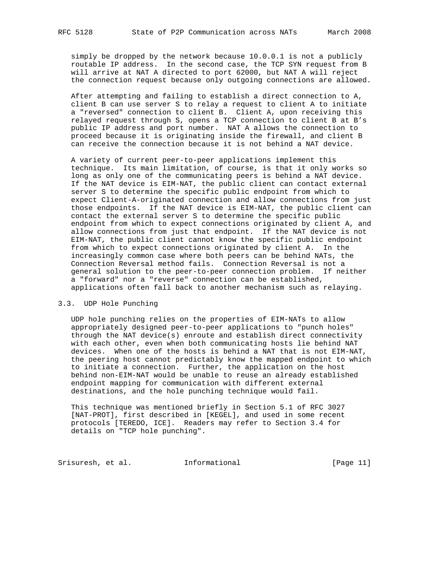simply be dropped by the network because 10.0.0.1 is not a publicly routable IP address. In the second case, the TCP SYN request from B will arrive at NAT A directed to port 62000, but NAT A will reject the connection request because only outgoing connections are allowed.

 After attempting and failing to establish a direct connection to A, client B can use server S to relay a request to client A to initiate a "reversed" connection to client B. Client A, upon receiving this relayed request through S, opens a TCP connection to client B at B's public IP address and port number. NAT A allows the connection to proceed because it is originating inside the firewall, and client B can receive the connection because it is not behind a NAT device.

 A variety of current peer-to-peer applications implement this technique. Its main limitation, of course, is that it only works so long as only one of the communicating peers is behind a NAT device. If the NAT device is EIM-NAT, the public client can contact external server S to determine the specific public endpoint from which to expect Client-A-originated connection and allow connections from just those endpoints. If the NAT device is EIM-NAT, the public client can contact the external server S to determine the specific public endpoint from which to expect connections originated by client A, and allow connections from just that endpoint. If the NAT device is not EIM-NAT, the public client cannot know the specific public endpoint from which to expect connections originated by client A. In the increasingly common case where both peers can be behind NATs, the Connection Reversal method fails. Connection Reversal is not a general solution to the peer-to-peer connection problem. If neither a "forward" nor a "reverse" connection can be established, applications often fall back to another mechanism such as relaying.

### 3.3. UDP Hole Punching

 UDP hole punching relies on the properties of EIM-NATs to allow appropriately designed peer-to-peer applications to "punch holes" through the NAT device(s) enroute and establish direct connectivity with each other, even when both communicating hosts lie behind NAT devices. When one of the hosts is behind a NAT that is not EIM-NAT, the peering host cannot predictably know the mapped endpoint to which to initiate a connection. Further, the application on the host behind non-EIM-NAT would be unable to reuse an already established endpoint mapping for communication with different external destinations, and the hole punching technique would fail.

 This technique was mentioned briefly in Section 5.1 of RFC 3027 [NAT-PROT], first described in [KEGEL], and used in some recent protocols [TEREDO, ICE]. Readers may refer to Section 3.4 for details on "TCP hole punching".

Srisuresh, et al. 1nformational [Page 11]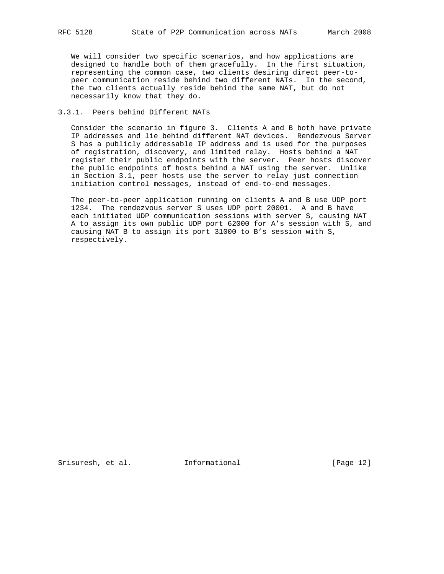We will consider two specific scenarios, and how applications are designed to handle both of them gracefully. In the first situation, representing the common case, two clients desiring direct peer-to peer communication reside behind two different NATs. In the second, the two clients actually reside behind the same NAT, but do not necessarily know that they do.

### 3.3.1. Peers behind Different NATs

 Consider the scenario in figure 3. Clients A and B both have private IP addresses and lie behind different NAT devices. Rendezvous Server S has a publicly addressable IP address and is used for the purposes of registration, discovery, and limited relay. Hosts behind a NAT register their public endpoints with the server. Peer hosts discover the public endpoints of hosts behind a NAT using the server. Unlike in Section 3.1, peer hosts use the server to relay just connection initiation control messages, instead of end-to-end messages.

 The peer-to-peer application running on clients A and B use UDP port 1234. The rendezvous server S uses UDP port 20001. A and B have each initiated UDP communication sessions with server S, causing NAT A to assign its own public UDP port 62000 for A's session with S, and causing NAT B to assign its port 31000 to B's session with S, respectively.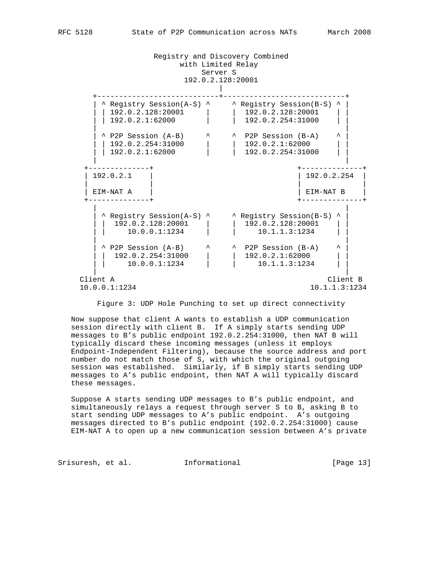Registry and Discovery Combined with Limited Relay Server S 192.0.2.128:20001 | +----------------------------+----------------------------+ | ^ Registry Session(A-S) ^ ^ Registry Session(B-S) ^ | | | 192.0.2.128:20001 | | 192.0.2.128:20001 | | | | 192.0.2.1:62000 | | 192.0.2.254:31000 | | | |  $\vert$  ^ P2P Session (A-B)  $\vert$  ^  $\vert$  ^ P2P Session (B-A)  $\vert$  ^  $\vert$  | | 192.0.2.254:31000 | | 192.0.2.1:62000 | | | | 192.0.2.1:62000 | | 192.0.2.254:31000 | | | | +--------------+ +--------------+ | 192.0.2.1 | | 192.0.2.254 | | | | | | EIM-NAT A | | EIM-NAT B | +--------------+ +--------------+ | | | ^ Registry Session(A-S) ^ ^ Registry Session(B-S) ^ | | | 192.0.2.128:20001 | | 192.0.2.128:20001 | |  $\begin{array}{|c|c|c|c|c|c|c|c|c|} \hline \rule{0.2cm}{0.2cm} & \rule{0.2cm}{0.2cm} & \rule{0.2cm}{0.2cm} & \rule{0.2cm}{0.2cm} & \rule{0.2cm}{0.2cm} & \rule{0.2cm}{0.2cm} & \rule{0.2cm}{0.2cm} & \rule{0.2cm}{0.2cm} & \rule{0.2cm}{0.2cm} & \rule{0.2cm}{0.2cm} & \rule{0.2cm}{0.2cm} & \rule{0.2cm}{0.2cm} & \rule{0.2cm}{0.2cm} & \rule{0.2cm}{0.$  | |  $\vert$  ^ P2P Session (A-B)  $\vert$  ^  $\vert$  ^ P2P Session (B-A)  $\vert$  ^  $\vert$  | | 192.0.2.254:31000 | | 192.0.2.1:62000 | | | | 10.0.0.1:1234 | | 10.1.1.3:1234 | | | | Client A Client B 10.0.0.1:1234 10.1.1.3:1234

Figure 3: UDP Hole Punching to set up direct connectivity

 Now suppose that client A wants to establish a UDP communication session directly with client B. If A simply starts sending UDP messages to B's public endpoint 192.0.2.254:31000, then NAT B will typically discard these incoming messages (unless it employs Endpoint-Independent Filtering), because the source address and port number do not match those of S, with which the original outgoing session was established. Similarly, if B simply starts sending UDP messages to A's public endpoint, then NAT A will typically discard these messages.

 Suppose A starts sending UDP messages to B's public endpoint, and simultaneously relays a request through server S to B, asking B to start sending UDP messages to A's public endpoint. A's outgoing messages directed to B's public endpoint (192.0.2.254:31000) cause EIM-NAT A to open up a new communication session between A's private

Srisuresh, et al. 1nformational [Page 13]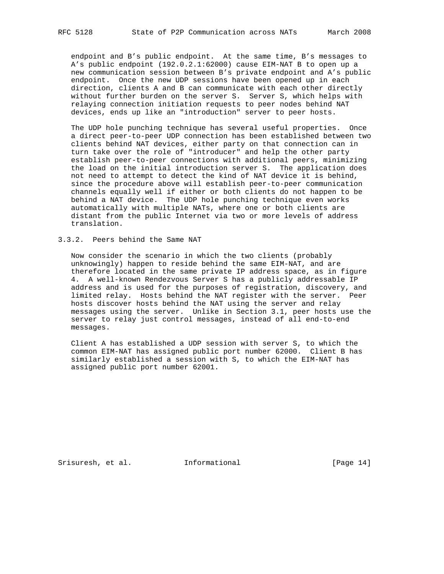endpoint and B's public endpoint. At the same time, B's messages to A's public endpoint (192.0.2.1:62000) cause EIM-NAT B to open up a new communication session between B's private endpoint and A's public endpoint. Once the new UDP sessions have been opened up in each direction, clients A and B can communicate with each other directly without further burden on the server S. Server S, which helps with relaying connection initiation requests to peer nodes behind NAT devices, ends up like an "introduction" server to peer hosts.

 The UDP hole punching technique has several useful properties. Once a direct peer-to-peer UDP connection has been established between two clients behind NAT devices, either party on that connection can in turn take over the role of "introducer" and help the other party establish peer-to-peer connections with additional peers, minimizing the load on the initial introduction server S. The application does not need to attempt to detect the kind of NAT device it is behind, since the procedure above will establish peer-to-peer communication channels equally well if either or both clients do not happen to be behind a NAT device. The UDP hole punching technique even works automatically with multiple NATs, where one or both clients are distant from the public Internet via two or more levels of address translation.

### 3.3.2. Peers behind the Same NAT

 Now consider the scenario in which the two clients (probably unknowingly) happen to reside behind the same EIM-NAT, and are therefore located in the same private IP address space, as in figure 4. A well-known Rendezvous Server S has a publicly addressable IP address and is used for the purposes of registration, discovery, and limited relay. Hosts behind the NAT register with the server. Peer hosts discover hosts behind the NAT using the server and relay messages using the server. Unlike in Section 3.1, peer hosts use the server to relay just control messages, instead of all end-to-end messages.

 Client A has established a UDP session with server S, to which the common EIM-NAT has assigned public port number 62000. Client B has similarly established a session with S, to which the EIM-NAT has assigned public port number 62001.

Srisuresh, et al. Informational [Page 14]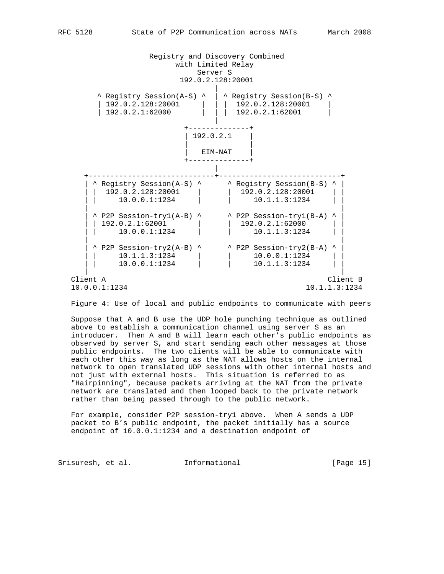Registry and Discovery Combined with Limited Relay Server S 192.0.2.128:20001 | ^ Registry Session(A-S) ^ | ^ Registry Session(B-S) ^ | 192.0.2.128:20001 | | 192.0.2.128:20001 | | | 192.0.2.128:20001 | | 192.0.2.1:62000 | | | 192.0.2.1:62001 | | +--------------+  $| 192.0.2.1$  | | | EIM-NAT | +--------------+ | +-----------------------------+----------------------------+  $\vert$  ^ Registry Session(A-S) ^  $\vert$  ^ Registry Session(B-S) ^  $\vert$  | | 192.0.2.128:20001 | | 192.0.2.128:20001 | | | | 10.0.0.1:1234 | | 10.1.1.3:1234 | | | |  $\vert$  ^ P2P Session-try1(A-B) ^  $\vert$  ^ P2P Session-try1(B-A) ^  $\vert$  $\begin{array}{|c|c|c|c|c|c|c|c|c|} \hline & 192.0.2.1:62001 & & & & \hline & 192.0.2.1:62000 & & & \hline \end{array}$  $\begin{array}{|c|c|c|c|c|c|c|c|c|} \hline \end{array}$  10.0.0.1:1234 | | 10.1.1.3:1234 | |  $\vert$  ^ P2P Session-try2(A-B) ^  $\vert$  ^ P2P Session-try2(B-A) ^  $\vert$  | | 10.1.1.3:1234 | | 10.0.0.1:1234 | |  $\left.\begin{matrix} 10.1.1.3\colon\!\!\!\!1234\ 10.0.0.1\colon\!\!\!\!1234 \end{matrix}\right.\quad\quad \left.\begin{matrix} \phantom{00} \phantom{0} \phantom{0} \phantom{0} \phantom{0} \phantom{0} \phantom{0} \end{matrix}\right\vert \qquad \quad \left.\begin{matrix} 10.0.0.1\colon\!\!\!\!1234\ 10.1.1.3\colon\!\!\!\!1234 \end{matrix}\right\vert$ 

 Client A Client B 10.0.0.1:1234 10.1.1.3:1234

Figure 4: Use of local and public endpoints to communicate with peers

| |

 Suppose that A and B use the UDP hole punching technique as outlined above to establish a communication channel using server S as an introducer. Then A and B will learn each other's public endpoints as observed by server S, and start sending each other messages at those public endpoints. The two clients will be able to communicate with each other this way as long as the NAT allows hosts on the internal network to open translated UDP sessions with other internal hosts and not just with external hosts. This situation is referred to as "Hairpinning", because packets arriving at the NAT from the private network are translated and then looped back to the private network rather than being passed through to the public network.

 For example, consider P2P session-try1 above. When A sends a UDP packet to B's public endpoint, the packet initially has a source endpoint of 10.0.0.1:1234 and a destination endpoint of

Srisuresh, et al. 1nformational [Page 15]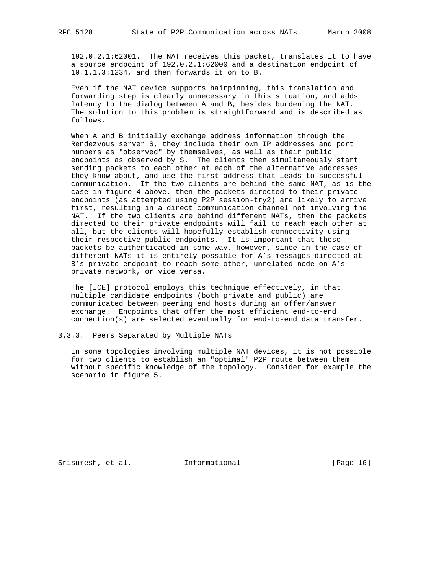192.0.2.1:62001. The NAT receives this packet, translates it to have a source endpoint of 192.0.2.1:62000 and a destination endpoint of 10.1.1.3:1234, and then forwards it on to B.

 Even if the NAT device supports hairpinning, this translation and forwarding step is clearly unnecessary in this situation, and adds latency to the dialog between A and B, besides burdening the NAT. The solution to this problem is straightforward and is described as follows.

 When A and B initially exchange address information through the Rendezvous server S, they include their own IP addresses and port numbers as "observed" by themselves, as well as their public endpoints as observed by S. The clients then simultaneously start sending packets to each other at each of the alternative addresses they know about, and use the first address that leads to successful communication. If the two clients are behind the same NAT, as is the case in figure 4 above, then the packets directed to their private endpoints (as attempted using P2P session-try2) are likely to arrive first, resulting in a direct communication channel not involving the NAT. If the two clients are behind different NATs, then the packets directed to their private endpoints will fail to reach each other at all, but the clients will hopefully establish connectivity using their respective public endpoints. It is important that these packets be authenticated in some way, however, since in the case of different NATs it is entirely possible for A's messages directed at B's private endpoint to reach some other, unrelated node on A's private network, or vice versa.

 The [ICE] protocol employs this technique effectively, in that multiple candidate endpoints (both private and public) are communicated between peering end hosts during an offer/answer exchange. Endpoints that offer the most efficient end-to-end connection(s) are selected eventually for end-to-end data transfer.

### 3.3.3. Peers Separated by Multiple NATs

 In some topologies involving multiple NAT devices, it is not possible for two clients to establish an "optimal" P2P route between them without specific knowledge of the topology. Consider for example the scenario in figure 5.

Srisuresh, et al. Informational [Page 16]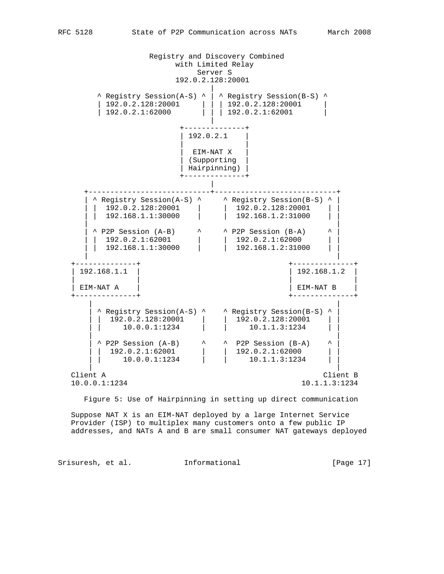Registry and Discovery Combined with Limited Relay Server S 192.0.2.128:20001 | ^ Registry Session(A-S) ^ | ^ Registry Session(B-S) ^  $\begin{array}{|c|c|c|c|c|c|c|c|} \hline 192.0.2.128:20201 & & & 192.0.2.128:20001 & & & \hline 192.0.2.1:62001 & & & & \hline \end{array}$  $\begin{array}{|c|c|c|c|c|} \hline &\text{\textbf{1}}&\text{\textbf{1}}&\text{\textbf{1}}&\text{\textbf{22}}&\text{\textbf{0}}&\text{\textbf{0}}&\text{\textbf{1}}&\text{\textbf{0}}&\text{\textbf{0}}&\text{\textbf{0}}&\text{\textbf{1}}&\text{\textbf{0}}&\text{\textbf{0}}&\text{\textbf{0}}&\text{\textbf{0}}&\text{\textbf{0}}&\text{\textbf{0}}&\text{\textbf{0}}&\text{\textbf{0}}&\text{\textbf{0}}&\text{\textbf{0}}&\text{\textbf{0}}&$  | +--------------+  $| 192.0.2.1$  | | | EIM-NAT X | | (Supporting | | Hairpinning) | +--------------+ | +----------------------------+----------------------------+ | ^ Registry Session(A-S) ^ ^ Registry Session(B-S) ^ | | | 192.0.2.128:20001 | | 192.0.2.128:20001 | | | | 192.168.1.1:30000 | | 192.168.1.2:31000 | | | |  $\vert$  ^ P2P Session (A-B)  $\vert$  ^  $\vert$  ^ P2P Session (B-A)  $\vert$  ^  $\vert$  | | 192.0.2.1:62001 | | 192.0.2.1:62000 | | | | 192.168.1.1:30000 | | 192.168.1.2:31000 | | | | +--------------+ +--------------+ | 192.168.1.1 | | 192.168.1.2 | | | | | | EIM-NAT A | | EIM-NAT B | +--------------+ +--------------+ | | | ^ Registry Session(A-S) ^ ^ Registry Session(B-S) ^ | | | 192.0.2.128:20001 | | 192.0.2.128:20001 | | | | 10.0.0.1:1234 | | 10.1.1.3:1234 | | | |  $\vert$  ^ P2P Session (A-B)  $\vert$  ^  $\vert$  ^ P2P Session (B-A)  $\vert$  ^  $\vert$  | | 192.0.2.1:62001 | | 192.0.2.1:62000 | | | | 10.0.0.1:1234 | | 10.1.1.3:1234 | | | | Client A Client B<br>  $10.0.0.1:1234$ <br>  $10.1.1.3:1234$ 10.0.0.1:1234 10.1.1.3:1234

Figure 5: Use of Hairpinning in setting up direct communication

 Suppose NAT X is an EIM-NAT deployed by a large Internet Service Provider (ISP) to multiplex many customers onto a few public IP addresses, and NATs A and B are small consumer NAT gateways deployed

Srisuresh, et al. 1nformational [Page 17]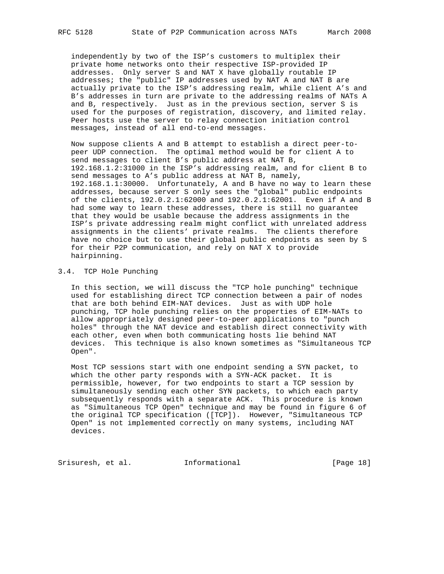independently by two of the ISP's customers to multiplex their private home networks onto their respective ISP-provided IP addresses. Only server S and NAT X have globally routable IP addresses; the "public" IP addresses used by NAT A and NAT B are actually private to the ISP's addressing realm, while client A's and B's addresses in turn are private to the addressing realms of NATs A and B, respectively. Just as in the previous section, server S is used for the purposes of registration, discovery, and limited relay. Peer hosts use the server to relay connection initiation control messages, instead of all end-to-end messages.

 Now suppose clients A and B attempt to establish a direct peer-to peer UDP connection. The optimal method would be for client A to send messages to client B's public address at NAT B, 192.168.1.2:31000 in the ISP's addressing realm, and for client B to send messages to A's public address at NAT B, namely, 192.168.1.1:30000. Unfortunately, A and B have no way to learn these addresses, because server S only sees the "global" public endpoints of the clients, 192.0.2.1:62000 and 192.0.2.1:62001. Even if A and B had some way to learn these addresses, there is still no guarantee that they would be usable because the address assignments in the ISP's private addressing realm might conflict with unrelated address assignments in the clients' private realms. The clients therefore have no choice but to use their global public endpoints as seen by S for their P2P communication, and rely on NAT X to provide hairpinning.

### 3.4. TCP Hole Punching

 In this section, we will discuss the "TCP hole punching" technique used for establishing direct TCP connection between a pair of nodes that are both behind EIM-NAT devices. Just as with UDP hole punching, TCP hole punching relies on the properties of EIM-NATs to allow appropriately designed peer-to-peer applications to "punch holes" through the NAT device and establish direct connectivity with each other, even when both communicating hosts lie behind NAT devices. This technique is also known sometimes as "Simultaneous TCP Open".

 Most TCP sessions start with one endpoint sending a SYN packet, to which the other party responds with a SYN-ACK packet. It is permissible, however, for two endpoints to start a TCP session by simultaneously sending each other SYN packets, to which each party subsequently responds with a separate ACK. This procedure is known as "Simultaneous TCP Open" technique and may be found in figure 6 of the original TCP specification ([TCP]). However, "Simultaneous TCP Open" is not implemented correctly on many systems, including NAT devices.

Srisuresh, et al. 1nformational [Page 18]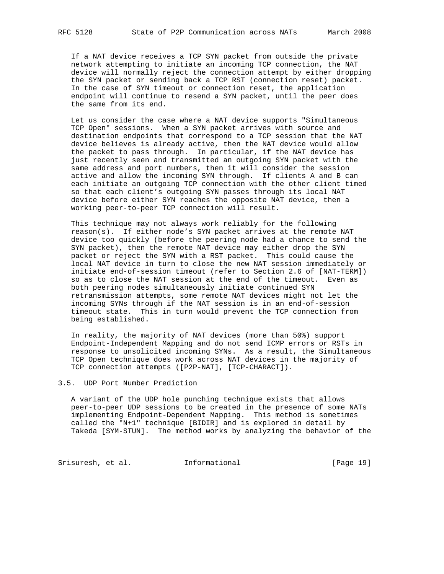If a NAT device receives a TCP SYN packet from outside the private network attempting to initiate an incoming TCP connection, the NAT device will normally reject the connection attempt by either dropping the SYN packet or sending back a TCP RST (connection reset) packet. In the case of SYN timeout or connection reset, the application endpoint will continue to resend a SYN packet, until the peer does the same from its end.

 Let us consider the case where a NAT device supports "Simultaneous TCP Open" sessions. When a SYN packet arrives with source and destination endpoints that correspond to a TCP session that the NAT device believes is already active, then the NAT device would allow the packet to pass through. In particular, if the NAT device has just recently seen and transmitted an outgoing SYN packet with the same address and port numbers, then it will consider the session active and allow the incoming SYN through. If clients A and B can each initiate an outgoing TCP connection with the other client timed so that each client's outgoing SYN passes through its local NAT device before either SYN reaches the opposite NAT device, then a working peer-to-peer TCP connection will result.

 This technique may not always work reliably for the following reason(s). If either node's SYN packet arrives at the remote NAT device too quickly (before the peering node had a chance to send the SYN packet), then the remote NAT device may either drop the SYN packet or reject the SYN with a RST packet. This could cause the local NAT device in turn to close the new NAT session immediately or initiate end-of-session timeout (refer to Section 2.6 of [NAT-TERM]) so as to close the NAT session at the end of the timeout. Even as both peering nodes simultaneously initiate continued SYN retransmission attempts, some remote NAT devices might not let the incoming SYNs through if the NAT session is in an end-of-session timeout state. This in turn would prevent the TCP connection from being established.

 In reality, the majority of NAT devices (more than 50%) support Endpoint-Independent Mapping and do not send ICMP errors or RSTs in response to unsolicited incoming SYNs. As a result, the Simultaneous TCP Open technique does work across NAT devices in the majority of TCP connection attempts ([P2P-NAT], [TCP-CHARACT]).

### 3.5. UDP Port Number Prediction

 A variant of the UDP hole punching technique exists that allows peer-to-peer UDP sessions to be created in the presence of some NATs implementing Endpoint-Dependent Mapping. This method is sometimes called the "N+1" technique [BIDIR] and is explored in detail by Takeda [SYM-STUN]. The method works by analyzing the behavior of the

Srisuresh, et al. 1nformational [Page 19]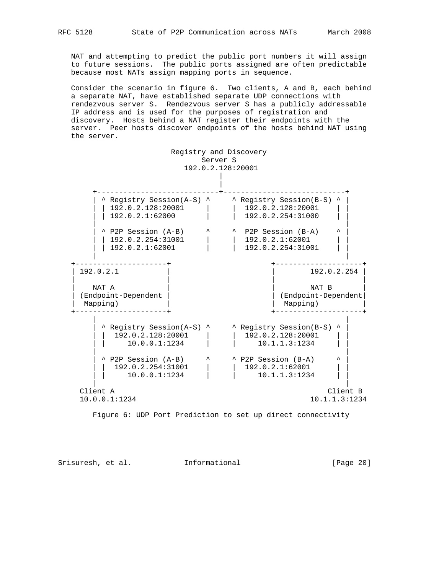NAT and attempting to predict the public port numbers it will assign to future sessions. The public ports assigned are often predictable because most NATs assign mapping ports in sequence.

 Consider the scenario in figure 6. Two clients, A and B, each behind a separate NAT, have established separate UDP connections with rendezvous server S. Rendezvous server S has a publicly addressable IP address and is used for the purposes of registration and discovery. Hosts behind a NAT register their endpoints with the server. Peer hosts discover endpoints of the hosts behind NAT using the server.



Figure 6: UDP Port Prediction to set up direct connectivity

Srisuresh, et al. Informational [Page 20]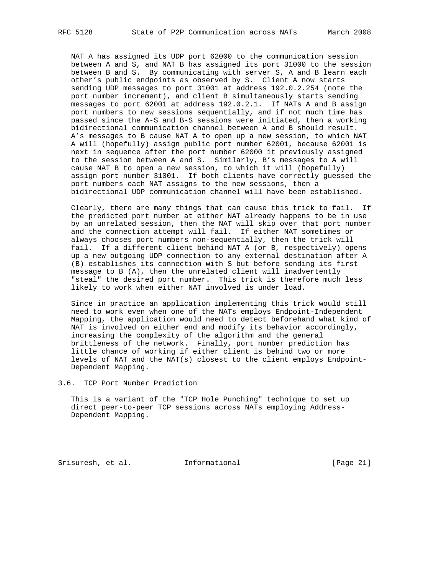NAT A has assigned its UDP port 62000 to the communication session between A and S, and NAT B has assigned its port 31000 to the session between B and S. By communicating with server S, A and B learn each other's public endpoints as observed by S. Client A now starts sending UDP messages to port 31001 at address 192.0.2.254 (note the port number increment), and client B simultaneously starts sending messages to port 62001 at address 192.0.2.1. If NATs A and B assign port numbers to new sessions sequentially, and if not much time has passed since the A-S and B-S sessions were initiated, then a working bidirectional communication channel between A and B should result. A's messages to B cause NAT A to open up a new session, to which NAT A will (hopefully) assign public port number 62001, because 62001 is next in sequence after the port number 62000 it previously assigned to the session between A and S. Similarly, B's messages to A will cause NAT B to open a new session, to which it will (hopefully) assign port number 31001. If both clients have correctly guessed the port numbers each NAT assigns to the new sessions, then a bidirectional UDP communication channel will have been established.

 Clearly, there are many things that can cause this trick to fail. If the predicted port number at either NAT already happens to be in use by an unrelated session, then the NAT will skip over that port number and the connection attempt will fail. If either NAT sometimes or always chooses port numbers non-sequentially, then the trick will fail. If a different client behind NAT A (or B, respectively) opens up a new outgoing UDP connection to any external destination after A (B) establishes its connection with S but before sending its first message to B (A), then the unrelated client will inadvertently "steal" the desired port number. This trick is therefore much less likely to work when either NAT involved is under load.

 Since in practice an application implementing this trick would still need to work even when one of the NATs employs Endpoint-Independent Mapping, the application would need to detect beforehand what kind of NAT is involved on either end and modify its behavior accordingly, increasing the complexity of the algorithm and the general brittleness of the network. Finally, port number prediction has little chance of working if either client is behind two or more levels of NAT and the NAT(s) closest to the client employs Endpoint- Dependent Mapping.

3.6. TCP Port Number Prediction

 This is a variant of the "TCP Hole Punching" technique to set up direct peer-to-peer TCP sessions across NATs employing Address- Dependent Mapping.

Srisuresh, et al. Informational [Page 21]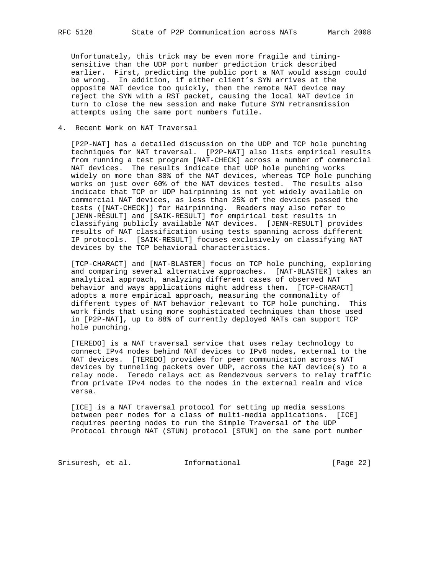Unfortunately, this trick may be even more fragile and timing sensitive than the UDP port number prediction trick described earlier. First, predicting the public port a NAT would assign could be wrong. In addition, if either client's SYN arrives at the opposite NAT device too quickly, then the remote NAT device may reject the SYN with a RST packet, causing the local NAT device in turn to close the new session and make future SYN retransmission attempts using the same port numbers futile.

4. Recent Work on NAT Traversal

 [P2P-NAT] has a detailed discussion on the UDP and TCP hole punching techniques for NAT traversal. [P2P-NAT] also lists empirical results from running a test program [NAT-CHECK] across a number of commercial NAT devices. The results indicate that UDP hole punching works widely on more than 80% of the NAT devices, whereas TCP hole punching works on just over 60% of the NAT devices tested. The results also indicate that TCP or UDP hairpinning is not yet widely available on commercial NAT devices, as less than 25% of the devices passed the tests ([NAT-CHECK]) for Hairpinning. Readers may also refer to [JENN-RESULT] and [SAIK-RESULT] for empirical test results in classifying publicly available NAT devices. [JENN-RESULT] provides results of NAT classification using tests spanning across different IP protocols. [SAIK-RESULT] focuses exclusively on classifying NAT devices by the TCP behavioral characteristics.

 [TCP-CHARACT] and [NAT-BLASTER] focus on TCP hole punching, exploring and comparing several alternative approaches. [NAT-BLASTER] takes an analytical approach, analyzing different cases of observed NAT behavior and ways applications might address them. [TCP-CHARACT] adopts a more empirical approach, measuring the commonality of different types of NAT behavior relevant to TCP hole punching. This work finds that using more sophisticated techniques than those used in [P2P-NAT], up to 88% of currently deployed NATs can support TCP hole punching.

 [TEREDO] is a NAT traversal service that uses relay technology to connect IPv4 nodes behind NAT devices to IPv6 nodes, external to the NAT devices. [TEREDO] provides for peer communication across NAT devices by tunneling packets over UDP, across the NAT device(s) to a relay node. Teredo relays act as Rendezvous servers to relay traffic from private IPv4 nodes to the nodes in the external realm and vice versa.

 [ICE] is a NAT traversal protocol for setting up media sessions between peer nodes for a class of multi-media applications. [ICE] requires peering nodes to run the Simple Traversal of the UDP Protocol through NAT (STUN) protocol [STUN] on the same port number

Srisuresh, et al. 1nformational [Page 22]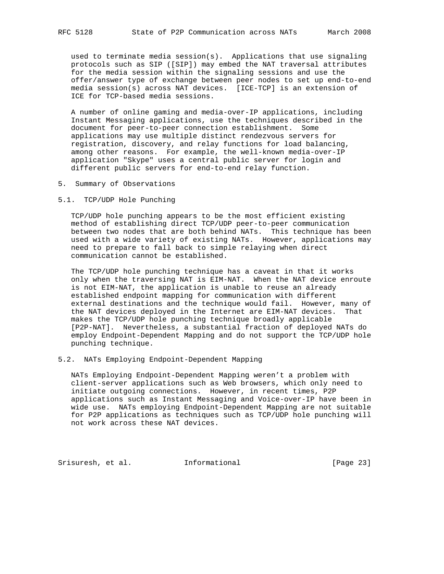used to terminate media session(s). Applications that use signaling protocols such as SIP ([SIP]) may embed the NAT traversal attributes for the media session within the signaling sessions and use the offer/answer type of exchange between peer nodes to set up end-to-end media session(s) across NAT devices. [ICE-TCP] is an extension of ICE for TCP-based media sessions.

 A number of online gaming and media-over-IP applications, including Instant Messaging applications, use the techniques described in the document for peer-to-peer connection establishment. Some applications may use multiple distinct rendezvous servers for registration, discovery, and relay functions for load balancing, among other reasons. For example, the well-known media-over-IP application "Skype" uses a central public server for login and different public servers for end-to-end relay function.

5. Summary of Observations

### 5.1. TCP/UDP Hole Punching

 TCP/UDP hole punching appears to be the most efficient existing method of establishing direct TCP/UDP peer-to-peer communication between two nodes that are both behind NATs. This technique has been used with a wide variety of existing NATs. However, applications may need to prepare to fall back to simple relaying when direct communication cannot be established.

 The TCP/UDP hole punching technique has a caveat in that it works only when the traversing NAT is EIM-NAT. When the NAT device enroute is not EIM-NAT, the application is unable to reuse an already established endpoint mapping for communication with different external destinations and the technique would fail. However, many of the NAT devices deployed in the Internet are EIM-NAT devices. That makes the TCP/UDP hole punching technique broadly applicable [P2P-NAT]. Nevertheless, a substantial fraction of deployed NATs do employ Endpoint-Dependent Mapping and do not support the TCP/UDP hole punching technique.

#### 5.2. NATs Employing Endpoint-Dependent Mapping

 NATs Employing Endpoint-Dependent Mapping weren't a problem with client-server applications such as Web browsers, which only need to initiate outgoing connections. However, in recent times, P2P applications such as Instant Messaging and Voice-over-IP have been in wide use. NATs employing Endpoint-Dependent Mapping are not suitable for P2P applications as techniques such as TCP/UDP hole punching will not work across these NAT devices.

Srisuresh, et al. 1nformational [Page 23]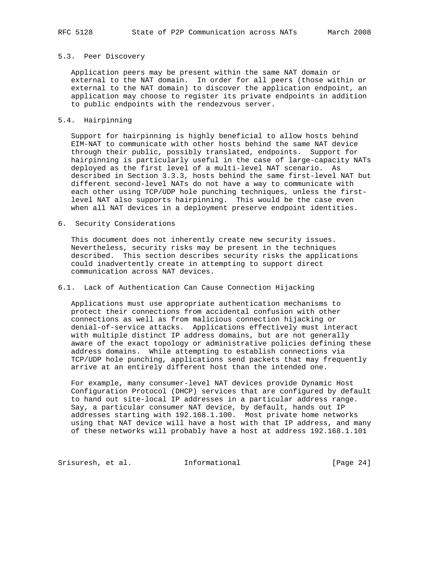#### 5.3. Peer Discovery

 Application peers may be present within the same NAT domain or external to the NAT domain. In order for all peers (those within or external to the NAT domain) to discover the application endpoint, an application may choose to register its private endpoints in addition to public endpoints with the rendezvous server.

### 5.4. Hairpinning

 Support for hairpinning is highly beneficial to allow hosts behind EIM-NAT to communicate with other hosts behind the same NAT device through their public, possibly translated, endpoints. Support for hairpinning is particularly useful in the case of large-capacity NATs deployed as the first level of a multi-level NAT scenario. As described in Section 3.3.3, hosts behind the same first-level NAT but different second-level NATs do not have a way to communicate with each other using TCP/UDP hole punching techniques, unless the first level NAT also supports hairpinning. This would be the case even when all NAT devices in a deployment preserve endpoint identities.

6. Security Considerations

 This document does not inherently create new security issues. Nevertheless, security risks may be present in the techniques described. This section describes security risks the applications could inadvertently create in attempting to support direct communication across NAT devices.

### 6.1. Lack of Authentication Can Cause Connection Hijacking

 Applications must use appropriate authentication mechanisms to protect their connections from accidental confusion with other connections as well as from malicious connection hijacking or denial-of-service attacks. Applications effectively must interact with multiple distinct IP address domains, but are not generally aware of the exact topology or administrative policies defining these address domains. While attempting to establish connections via TCP/UDP hole punching, applications send packets that may frequently arrive at an entirely different host than the intended one.

 For example, many consumer-level NAT devices provide Dynamic Host Configuration Protocol (DHCP) services that are configured by default to hand out site-local IP addresses in a particular address range. Say, a particular consumer NAT device, by default, hands out IP addresses starting with 192.168.1.100. Most private home networks using that NAT device will have a host with that IP address, and many of these networks will probably have a host at address 192.168.1.101

Srisuresh, et al. 1nformational 1999 [Page 24]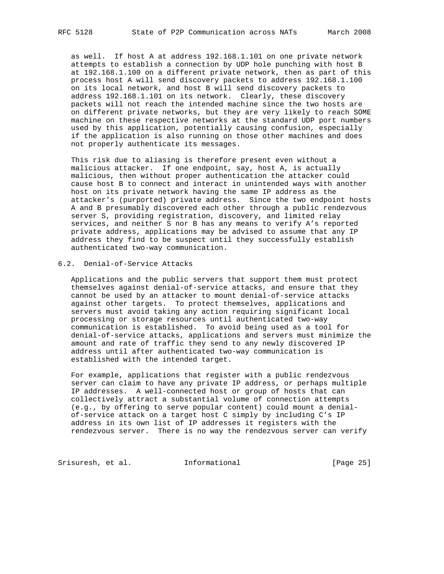as well. If host A at address 192.168.1.101 on one private network attempts to establish a connection by UDP hole punching with host B at 192.168.1.100 on a different private network, then as part of this process host A will send discovery packets to address 192.168.1.100 on its local network, and host B will send discovery packets to address 192.168.1.101 on its network. Clearly, these discovery packets will not reach the intended machine since the two hosts are on different private networks, but they are very likely to reach SOME machine on these respective networks at the standard UDP port numbers used by this application, potentially causing confusion, especially if the application is also running on those other machines and does not properly authenticate its messages.

 This risk due to aliasing is therefore present even without a malicious attacker. If one endpoint, say, host A, is actually malicious, then without proper authentication the attacker could cause host B to connect and interact in unintended ways with another host on its private network having the same IP address as the attacker's (purported) private address. Since the two endpoint hosts A and B presumably discovered each other through a public rendezvous server S, providing registration, discovery, and limited relay services, and neither S nor B has any means to verify A's reported private address, applications may be advised to assume that any IP address they find to be suspect until they successfully establish authenticated two-way communication.

# 6.2. Denial-of-Service Attacks

 Applications and the public servers that support them must protect themselves against denial-of-service attacks, and ensure that they cannot be used by an attacker to mount denial-of-service attacks against other targets. To protect themselves, applications and servers must avoid taking any action requiring significant local processing or storage resources until authenticated two-way communication is established. To avoid being used as a tool for denial-of-service attacks, applications and servers must minimize the amount and rate of traffic they send to any newly discovered IP address until after authenticated two-way communication is established with the intended target.

 For example, applications that register with a public rendezvous server can claim to have any private IP address, or perhaps multiple IP addresses. A well-connected host or group of hosts that can collectively attract a substantial volume of connection attempts (e.g., by offering to serve popular content) could mount a denial of-service attack on a target host C simply by including C's IP address in its own list of IP addresses it registers with the rendezvous server. There is no way the rendezvous server can verify

Srisuresh, et al. 1nformational [Page 25]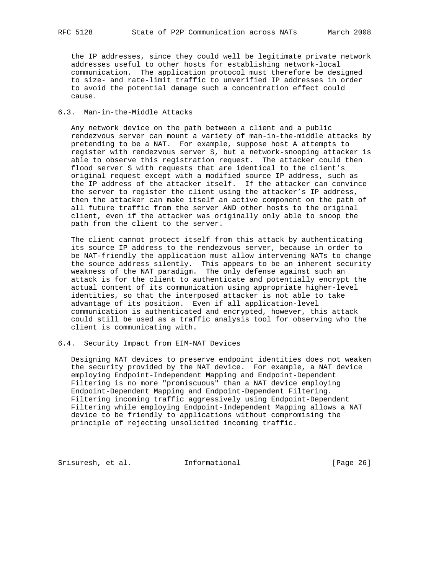the IP addresses, since they could well be legitimate private network addresses useful to other hosts for establishing network-local communication. The application protocol must therefore be designed to size- and rate-limit traffic to unverified IP addresses in order to avoid the potential damage such a concentration effect could cause.

### 6.3. Man-in-the-Middle Attacks

 Any network device on the path between a client and a public rendezvous server can mount a variety of man-in-the-middle attacks by pretending to be a NAT. For example, suppose host A attempts to register with rendezvous server S, but a network-snooping attacker is able to observe this registration request. The attacker could then flood server S with requests that are identical to the client's original request except with a modified source IP address, such as the IP address of the attacker itself. If the attacker can convince the server to register the client using the attacker's IP address, then the attacker can make itself an active component on the path of all future traffic from the server AND other hosts to the original client, even if the attacker was originally only able to snoop the path from the client to the server.

 The client cannot protect itself from this attack by authenticating its source IP address to the rendezvous server, because in order to be NAT-friendly the application must allow intervening NATs to change the source address silently. This appears to be an inherent security weakness of the NAT paradigm. The only defense against such an attack is for the client to authenticate and potentially encrypt the actual content of its communication using appropriate higher-level identities, so that the interposed attacker is not able to take advantage of its position. Even if all application-level communication is authenticated and encrypted, however, this attack could still be used as a traffic analysis tool for observing who the client is communicating with.

### 6.4. Security Impact from EIM-NAT Devices

 Designing NAT devices to preserve endpoint identities does not weaken the security provided by the NAT device. For example, a NAT device employing Endpoint-Independent Mapping and Endpoint-Dependent Filtering is no more "promiscuous" than a NAT device employing Endpoint-Dependent Mapping and Endpoint-Dependent Filtering. Filtering incoming traffic aggressively using Endpoint-Dependent Filtering while employing Endpoint-Independent Mapping allows a NAT device to be friendly to applications without compromising the principle of rejecting unsolicited incoming traffic.

Srisuresh, et al. 1nformational [Page 26]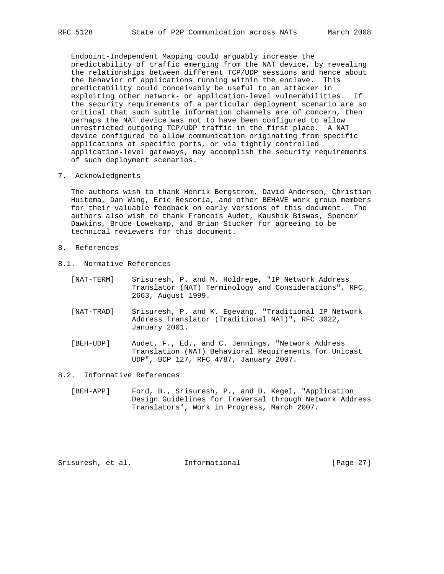Endpoint-Independent Mapping could arguably increase the predictability of traffic emerging from the NAT device, by revealing the relationships between different TCP/UDP sessions and hence about the behavior of applications running within the enclave. This predictability could conceivably be useful to an attacker in exploiting other network- or application-level vulnerabilities. If the security requirements of a particular deployment scenario are so critical that such subtle information channels are of concern, then perhaps the NAT device was not to have been configured to allow unrestricted outgoing TCP/UDP traffic in the first place. A NAT device configured to allow communication originating from specific applications at specific ports, or via tightly controlled application-level gateways, may accomplish the security requirements of such deployment scenarios.

7. Acknowledgments

 The authors wish to thank Henrik Bergstrom, David Anderson, Christian Huitema, Dan Wing, Eric Rescorla, and other BEHAVE work group members for their valuable feedback on early versions of this document. The authors also wish to thank Francois Audet, Kaushik Biswas, Spencer Dawkins, Bruce Lowekamp, and Brian Stucker for agreeing to be technical reviewers for this document.

- 8. References
- 8.1. Normative References

| [NAT-TERM] | Srisuresh, P. and M. Holdrege, "IP Network Address    |  |  |  |  |
|------------|-------------------------------------------------------|--|--|--|--|
|            | Translator (NAT) Terminology and Considerations", RFC |  |  |  |  |
|            | 2663, August 1999.                                    |  |  |  |  |

- [NAT-TRAD] Srisuresh, P. and K. Egevang, "Traditional IP Network Address Translator (Traditional NAT)", RFC 3022, January 2001.
- [BEH-UDP] Audet, F., Ed., and C. Jennings, "Network Address Translation (NAT) Behavioral Requirements for Unicast UDP", BCP 127, RFC 4787, January 2007.

#### 8.2. Informative References

 [BEH-APP] Ford, B., Srisuresh, P., and D. Kegel, "Application Design Guidelines for Traversal through Network Address Translators", Work in Progress, March 2007.

Srisuresh, et al. Informational [Page 27]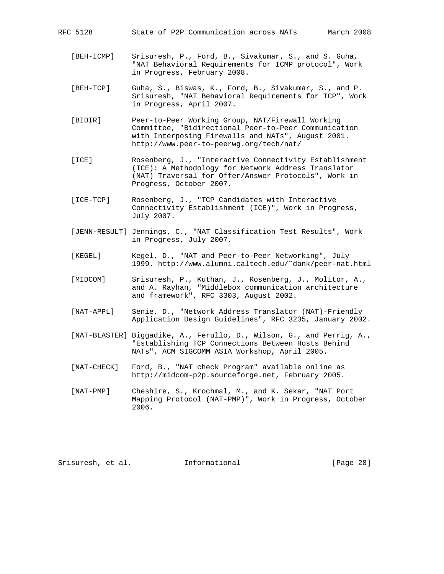- [BEH-ICMP] Srisuresh, P., Ford, B., Sivakumar, S., and S. Guha, "NAT Behavioral Requirements for ICMP protocol", Work in Progress, February 2008.
- [BEH-TCP] Guha, S., Biswas, K., Ford, B., Sivakumar, S., and P. Srisuresh, "NAT Behavioral Requirements for TCP", Work in Progress, April 2007.
- [BIDIR] Peer-to-Peer Working Group, NAT/Firewall Working Committee, "Bidirectional Peer-to-Peer Communication with Interposing Firewalls and NATs", August 2001. http://www.peer-to-peerwg.org/tech/nat/
- [ICE] Rosenberg, J., "Interactive Connectivity Establishment (ICE): A Methodology for Network Address Translator (NAT) Traversal for Offer/Answer Protocols", Work in Progress, October 2007.
- [ICE-TCP] Rosenberg, J., "TCP Candidates with Interactive Connectivity Establishment (ICE)", Work in Progress, July 2007.
- [JENN-RESULT] Jennings, C., "NAT Classification Test Results", Work in Progress, July 2007.
- [KEGEL] Kegel, D., "NAT and Peer-to-Peer Networking", July 1999. http://www.alumni.caltech.edu/˜dank/peer-nat.html
- [MIDCOM] Srisuresh, P., Kuthan, J., Rosenberg, J., Molitor, A., and A. Rayhan, "Middlebox communication architecture and framework", RFC 3303, August 2002.
- [NAT-APPL] Senie, D., "Network Address Translator (NAT)-Friendly Application Design Guidelines", RFC 3235, January 2002.
- [NAT-BLASTER] Biggadike, A., Ferullo, D., Wilson, G., and Perrig, A., "Establishing TCP Connections Between Hosts Behind NATs", ACM SIGCOMM ASIA Workshop, April 2005.
- [NAT-CHECK] Ford, B., "NAT check Program" available online as http://midcom-p2p.sourceforge.net, February 2005.
- [NAT-PMP] Cheshire, S., Krochmal, M., and K. Sekar, "NAT Port Mapping Protocol (NAT-PMP)", Work in Progress, October 2006.

Srisuresh, et al. 1nformational [Page 28]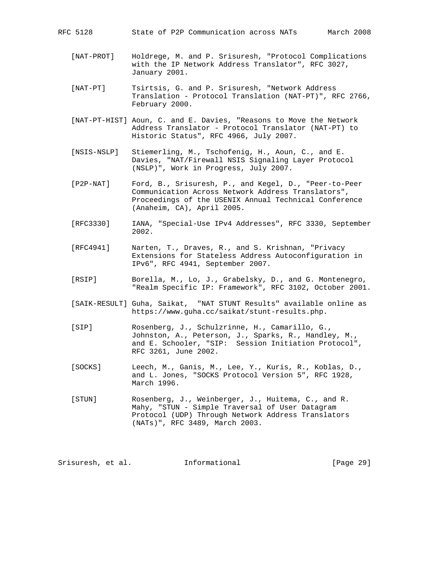- [NAT-PROT] Holdrege, M. and P. Srisuresh, "Protocol Complications with the IP Network Address Translator", RFC 3027, January 2001.
- [NAT-PT] Tsirtsis, G. and P. Srisuresh, "Network Address Translation - Protocol Translation (NAT-PT)", RFC 2766, February 2000.
- [NAT-PT-HIST] Aoun, C. and E. Davies, "Reasons to Move the Network Address Translator - Protocol Translator (NAT-PT) to Historic Status", RFC 4966, July 2007.
- [NSIS-NSLP] Stiemerling, M., Tschofenig, H., Aoun, C., and E. Davies, "NAT/Firewall NSIS Signaling Layer Protocol (NSLP)", Work in Progress, July 2007.
- [P2P-NAT] Ford, B., Srisuresh, P., and Kegel, D., "Peer-to-Peer Communication Across Network Address Translators", Proceedings of the USENIX Annual Technical Conference (Anaheim, CA), April 2005.
- [RFC3330] IANA, "Special-Use IPv4 Addresses", RFC 3330, September 2002.
- [RFC4941] Narten, T., Draves, R., and S. Krishnan, "Privacy Extensions for Stateless Address Autoconfiguration in IPv6", RFC 4941, September 2007.
- [RSIP] Borella, M., Lo, J., Grabelsky, D., and G. Montenegro, "Realm Specific IP: Framework", RFC 3102, October 2001.
- [SAIK-RESULT] Guha, Saikat, "NAT STUNT Results" available online as https://www.guha.cc/saikat/stunt-results.php.
- [SIP] Rosenberg, J., Schulzrinne, H., Camarillo, G., Johnston, A., Peterson, J., Sparks, R., Handley, M., and E. Schooler, "SIP: Session Initiation Protocol", RFC 3261, June 2002.
- [SOCKS] Leech, M., Ganis, M., Lee, Y., Kuris, R., Koblas, D., and L. Jones, "SOCKS Protocol Version 5", RFC 1928, March 1996.
- [STUN] Rosenberg, J., Weinberger, J., Huitema, C., and R. Mahy, "STUN - Simple Traversal of User Datagram Protocol (UDP) Through Network Address Translators (NATs)", RFC 3489, March 2003.

Srisuresh, et al. Informational [Page 29]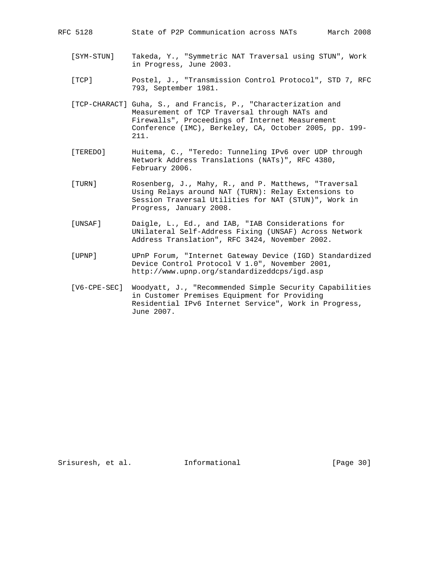| State of P2P Communication across NATs<br>RFC 5128 |  |
|----------------------------------------------------|--|
|----------------------------------------------------|--|

- [SYM-STUN] Takeda, Y., "Symmetric NAT Traversal using STUN", Work in Progress, June 2003.
- [TCP] Postel, J., "Transmission Control Protocol", STD 7, RFC 793, September 1981.
- [TCP-CHARACT] Guha, S., and Francis, P., "Characterization and Measurement of TCP Traversal through NATs and Firewalls", Proceedings of Internet Measurement Conference (IMC), Berkeley, CA, October 2005, pp. 199- 211.
- [TEREDO] Huitema, C., "Teredo: Tunneling IPv6 over UDP through Network Address Translations (NATs)", RFC 4380, February 2006.
- [TURN] Rosenberg, J., Mahy, R., and P. Matthews, "Traversal Using Relays around NAT (TURN): Relay Extensions to Session Traversal Utilities for NAT (STUN)", Work in Progress, January 2008.
- [UNSAF] Daigle, L., Ed., and IAB, "IAB Considerations for UNilateral Self-Address Fixing (UNSAF) Across Network Address Translation", RFC 3424, November 2002.
- [UPNP] UPnP Forum, "Internet Gateway Device (IGD) Standardized Device Control Protocol V 1.0", November 2001, http://www.upnp.org/standardizeddcps/igd.asp
- [V6-CPE-SEC] Woodyatt, J., "Recommended Simple Security Capabilities in Customer Premises Equipment for Providing Residential IPv6 Internet Service", Work in Progress, June 2007.

Srisuresh, et al. Informational [Page 30]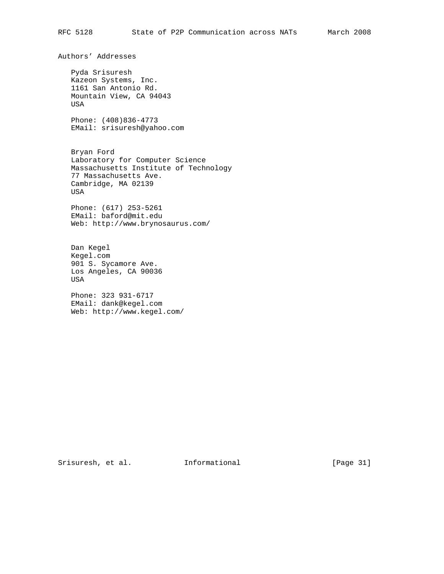Authors' Addresses Pyda Srisuresh Kazeon Systems, Inc. 1161 San Antonio Rd. Mountain View, CA 94043 USA Phone: (408)836-4773 EMail: srisuresh@yahoo.com Bryan Ford Laboratory for Computer Science Massachusetts Institute of Technology 77 Massachusetts Ave. Cambridge, MA 02139 USA Phone: (617) 253-5261 EMail: baford@mit.edu Web: http://www.brynosaurus.com/

 Dan Kegel Kegel.com 901 S. Sycamore Ave. Los Angeles, CA 90036 USA

 Phone: 323 931-6717 EMail: dank@kegel.com Web: http://www.kegel.com/

Srisuresh, et al. 1nformational [Page 31]